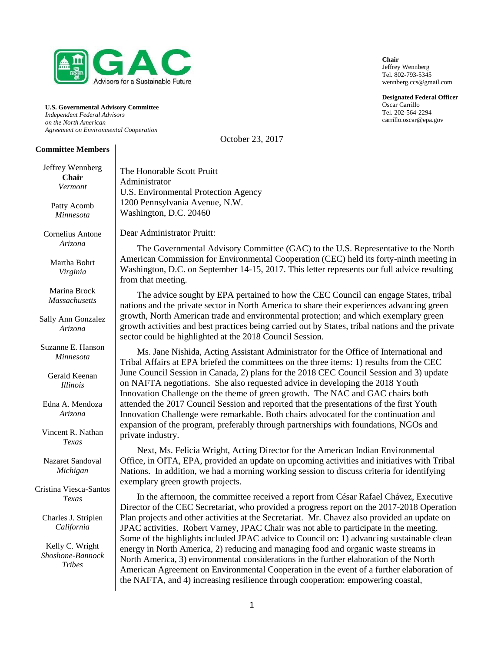

**U.S. Governmental Advisory Committee** *Independent Federal Advisors on the North American Agreement on Environmental Cooperation*

#### **Committee Members**

Jeffrey Wennberg

| Jerrrey wennberg<br>Chair<br>Vermont<br>Patty Acomb<br>Minnesota | The Honorable Scott Pruitt<br>Administrator<br>U.S. Environmental Protection Agency<br>1200 Pennsylvania Avenue, N.W.<br>Washington, D.C. 20460                                                                                                                                                                                                                        |
|------------------------------------------------------------------|------------------------------------------------------------------------------------------------------------------------------------------------------------------------------------------------------------------------------------------------------------------------------------------------------------------------------------------------------------------------|
| Cornelius Antone<br>Arizona                                      | Dear Administrator Pruitt:<br>The Governmental Advisory Committee (GAC) to the U.S. Representative to the North                                                                                                                                                                                                                                                        |
| Martha Bohrt<br>Virginia                                         | American Commission for Environmental Cooperation (CEC) held its forty-ninth meeting in<br>Washington, D.C. on September 14-15, 2017. This letter represents our full advice resulting<br>from that meeting.                                                                                                                                                           |
| Marina Brock<br><b>Massachusetts</b>                             | The advice sought by EPA pertained to how the CEC Council can engage States, tribal<br>nations and the private sector in North America to share their experiences advancing green                                                                                                                                                                                      |
| Sally Ann Gonzalez<br>Arizona                                    | growth, North American trade and environmental protection; and which exemplary green<br>growth activities and best practices being carried out by States, tribal nations and the private<br>sector could be highlighted at the 2018 Council Session.                                                                                                                   |
| Suzanne E. Hanson<br><b>Minnesota</b>                            | Ms. Jane Nishida, Acting Assistant Administrator for the Office of International and<br>Tribal Affairs at EPA briefed the committees on the three items: 1) results from the CEC                                                                                                                                                                                       |
| Gerald Keenan<br><b>Illinois</b>                                 | June Council Session in Canada, 2) plans for the 2018 CEC Council Session and 3) update<br>on NAFTA negotiations. She also requested advice in developing the 2018 Youth<br>Innovation Challenge on the theme of green growth. The NAC and GAC chairs both                                                                                                             |
| Edna A. Mendoza<br>Arizona                                       | attended the 2017 Council Session and reported that the presentations of the first Youth<br>Innovation Challenge were remarkable. Both chairs advocated for the continuation and<br>expansion of the program, preferably through partnerships with foundations, NGOs and                                                                                               |
| Vincent R. Nathan<br>Texas                                       | private industry.                                                                                                                                                                                                                                                                                                                                                      |
| Nazaret Sandoval<br>Michigan                                     | Next, Ms. Felicia Wright, Acting Director for the American Indian Environmental<br>Office, in OITA, EPA, provided an update on upcoming activities and initiatives with Tribal<br>Nations. In addition, we had a morning working session to discuss criteria for identifying<br>exemplary green growth projects.                                                       |
| Cristina Viesca-Santos<br>Texas                                  | In the afternoon, the committee received a report from César Rafael Chávez, Executive<br>Director of the CEC Secretariat, who provided a progress report on the 2017-2018 Operation                                                                                                                                                                                    |
| Charles J. Striplen<br>California                                | Plan projects and other activities at the Secretariat. Mr. Chavez also provided an update on<br>JPAC activities. Robert Varney, JPAC Chair was not able to participate in the meeting.                                                                                                                                                                                 |
| Kelly C. Wright<br>Shoshone-Bannock<br><b>Tribes</b>             | Some of the highlights included JPAC advice to Council on: 1) advancing sustainable clean<br>energy in North America, 2) reducing and managing food and organic waste streams in<br>North America, 3) environmental considerations in the further elaboration of the North<br>American Agreement on Environmental Cooperation in the event of a further elaboration of |
|                                                                  | the NAFTA, and 4) increasing resilience through cooperation: empowering coastal,                                                                                                                                                                                                                                                                                       |

**Chair** Jeffrey Wennberg Tel. 802-793-5345 wennberg.ccs@gmail.com

**Designated Federal Officer** Oscar Carrillo Tel. 202-564-2294 carrillo.oscar@epa.gov

October 23, 2017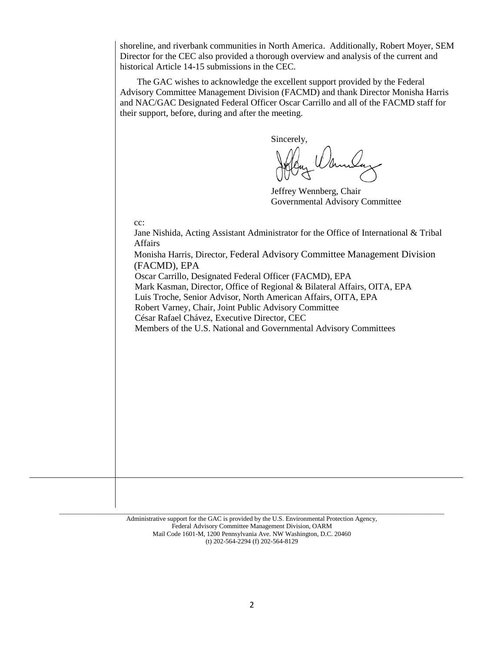shoreline, and riverbank communities in North America. Additionally, Robert Moyer, SEM Director for the CEC also provided a thorough overview and analysis of the current and historical Article 14-15 submissions in the CEC.

The GAC wishes to acknowledge the excellent support provided by the Federal Advisory Committee Management Division (FACMD) and thank Director Monisha Harris and NAC/GAC Designated Federal Officer Oscar Carrillo and all of the FACMD staff for their support, before, during and after the meeting.

Sincerely,

Jeffrey Wennberg, Chair Governmental Advisory Committee

cc:

Jane Nishida, Acting Assistant Administrator for the Office of International & Tribal Affairs Monisha Harris, Director, Federal Advisory Committee Management Division

(FACMD), EPA Oscar Carrillo, Designated Federal Officer (FACMD), EPA

Mark Kasman, Director, Office of Regional & Bilateral Affairs, OITA, EPA

Luis Troche, Senior Advisor, North American Affairs, OITA, EPA

Robert Varney, Chair, Joint Public Advisory Committee

César Rafael Chávez, Executive Director, CEC

Members of the U.S. National and Governmental Advisory Committees

Administrative support for the GAC is provided by the U.S. Environmental Protection Agency, Federal Advisory Committee Management Division, OARM Mail Code 1601-M, 1200 Pennsylvania Ave. NW Washington, D.C. 20460 (t) 202-564-2294 (f) 202-564-8129

\_\_\_\_\_\_\_\_\_\_\_\_\_\_\_\_\_\_\_\_\_\_\_\_\_\_\_\_\_\_\_\_\_\_\_\_\_\_\_\_\_\_\_\_\_\_\_\_\_\_\_\_\_\_\_\_\_\_\_\_\_\_\_\_\_\_\_\_\_\_\_\_\_\_\_\_\_\_\_\_\_\_\_\_\_\_\_\_\_\_\_\_\_\_\_\_\_\_\_\_\_\_\_\_\_\_\_\_\_\_\_\_\_\_\_\_\_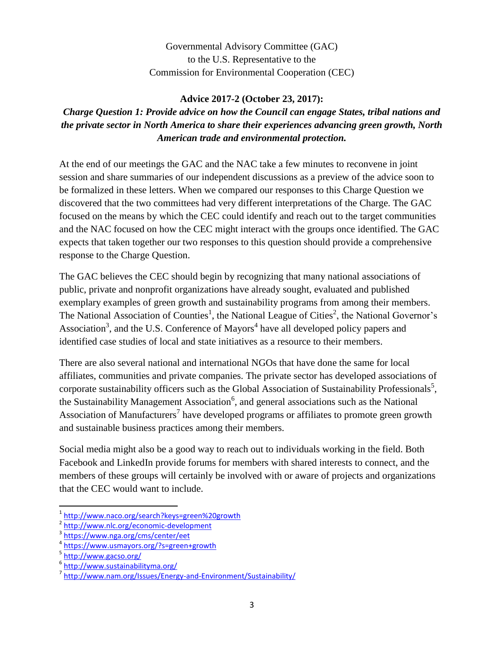Governmental Advisory Committee (GAC) to the U.S. Representative to the Commission for Environmental Cooperation (CEC)

#### **Advice 2017-2 (October 23, 2017):**

*Charge Question 1: Provide advice on how the Council can engage States, tribal nations and the private sector in North America to share their experiences advancing green growth, North American trade and environmental protection.*

At the end of our meetings the GAC and the NAC take a few minutes to reconvene in joint session and share summaries of our independent discussions as a preview of the advice soon to be formalized in these letters. When we compared our responses to this Charge Question we discovered that the two committees had very different interpretations of the Charge. The GAC focused on the means by which the CEC could identify and reach out to the target communities and the NAC focused on how the CEC might interact with the groups once identified. The GAC expects that taken together our two responses to this question should provide a comprehensive response to the Charge Question.

The GAC believes the CEC should begin by recognizing that many national associations of public, private and nonprofit organizations have already sought, evaluated and published exemplary examples of green growth and sustainability programs from among their members. The National Association of Counties<sup>1</sup>, the National League of Cities<sup>2</sup>, the National Governor's Association<sup>3</sup>, and the U.S. Conference of Mayors<sup>4</sup> have all developed policy papers and identified case studies of local and state initiatives as a resource to their members.

There are also several national and international NGOs that have done the same for local affiliates, communities and private companies. The private sector has developed associations of corporate sustainability officers such as the Global Association of Sustainability Professionals<sup>5</sup>, the Sustainability Management Association<sup>6</sup>, and general associations such as the National Association of Manufacturers<sup>7</sup> have developed programs or affiliates to promote green growth and sustainable business practices among their members.

Social media might also be a good way to reach out to individuals working in the field. Both Facebook and LinkedIn provide forums for members with shared interests to connect, and the members of these groups will certainly be involved with or aware of projects and organizations that the CEC would want to include.

<sup>1</sup> <http://www.naco.org/search?keys=green%20growth>

<sup>&</sup>lt;sup>2</sup> <http://www.nlc.org/economic-development>

<sup>&</sup>lt;sup>3</sup><https://www.nga.org/cms/center/eet>

<sup>4</sup> <https://www.usmayors.org/?s=green+growth>

<sup>&</sup>lt;sup>5</sup><http://www.gacso.org/>

<sup>6</sup> <http://www.sustainabilityma.org/>

<sup>&</sup>lt;sup>7</sup> <http://www.nam.org/Issues/Energy-and-Environment/Sustainability/>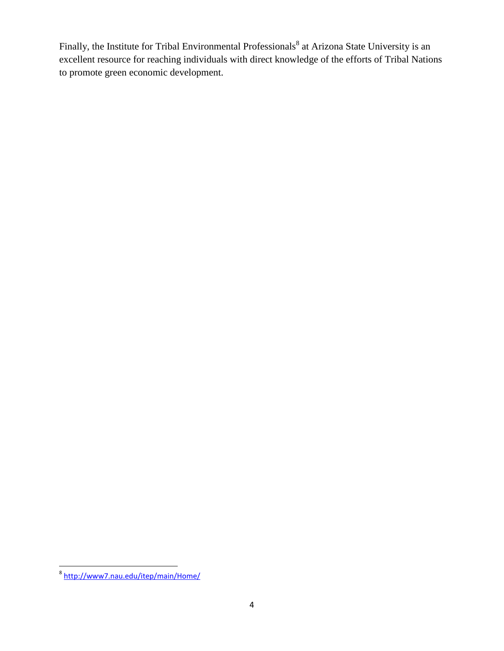Finally, the Institute for Tribal Environmental Professionals<sup>8</sup> at Arizona State University is an excellent resource for reaching individuals with direct knowledge of the efforts of Tribal Nations to promote green economic development.

<sup>&</sup>lt;sup>8</sup><http://www7.nau.edu/itep/main/Home/>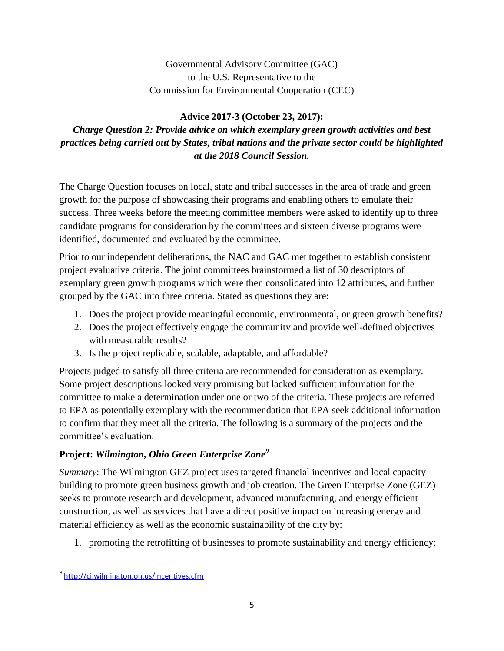## Governmental Advisory Committee (GAC) to the U.S. Representative to the Commission for Environmental Cooperation (CEC)

## **Advice 2017-3 (October 23, 2017):**

# *Charge Question 2: Provide advice on which exemplary green growth activities and best practices being carried out by States, tribal nations and the private sector could be highlighted at the 2018 Council Session.*

The Charge Question focuses on local, state and tribal successes in the area of trade and green growth for the purpose of showcasing their programs and enabling others to emulate their success. Three weeks before the meeting committee members were asked to identify up to three candidate programs for consideration by the committees and sixteen diverse programs were identified, documented and evaluated by the committee.

Prior to our independent deliberations, the NAC and GAC met together to establish consistent project evaluative criteria. The joint committees brainstormed a list of 30 descriptors of exemplary green growth programs which were then consolidated into 12 attributes, and further grouped by the GAC into three criteria. Stated as questions they are:

- 1. Does the project provide meaningful economic, environmental, or green growth benefits?
- 2. Does the project effectively engage the community and provide well-defined objectives with measurable results?
- 3. Is the project replicable, scalable, adaptable, and affordable?

Projects judged to satisfy all three criteria are recommended for consideration as exemplary. Some project descriptions looked very promising but lacked sufficient information for the committee to make a determination under one or two of the criteria. These projects are referred to EPA as potentially exemplary with the recommendation that EPA seek additional information to confirm that they meet all the criteria. The following is a summary of the projects and the committee's evaluation.

## **Project:** *Wilmington, Ohio Green Enterprise Zone<sup>9</sup>*

*Summary*: The Wilmington GEZ project uses targeted financial incentives and local capacity building to promote green business growth and job creation. The Green Enterprise Zone (GEZ) seeks to promote research and development, advanced manufacturing, and energy efficient construction, as well as services that have a direct positive impact on increasing energy and material efficiency as well as the economic sustainability of the city by:

1. promoting the retrofitting of businesses to promote sustainability and energy efficiency;

<sup>&</sup>lt;sup>9</sup><br><http://ci.wilmington.oh.us/incentives.cfm><sup>9</sup>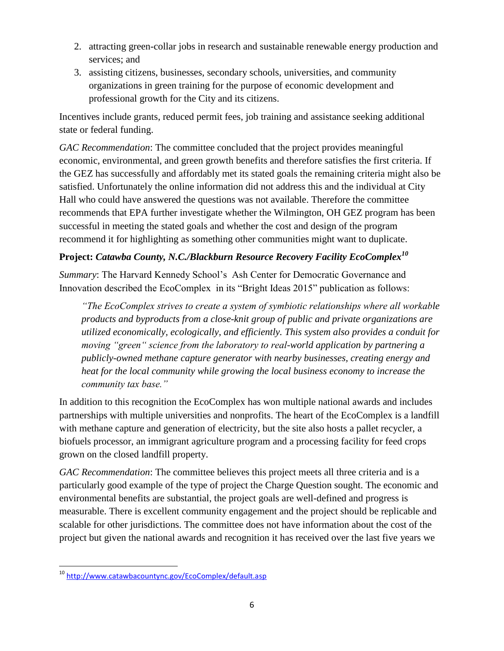- 2. attracting green-collar jobs in research and sustainable renewable energy production and services; and
- 3. assisting citizens, businesses, secondary schools, universities, and community organizations in green training for the purpose of economic development and professional growth for the City and its citizens.

Incentives include grants, reduced permit fees, job training and assistance seeking additional state or federal funding.

*GAC Recommendation*: The committee concluded that the project provides meaningful economic, environmental, and green growth benefits and therefore satisfies the first criteria. If the GEZ has successfully and affordably met its stated goals the remaining criteria might also be satisfied. Unfortunately the online information did not address this and the individual at City Hall who could have answered the questions was not available. Therefore the committee recommends that EPA further investigate whether the Wilmington, OH GEZ program has been successful in meeting the stated goals and whether the cost and design of the program recommend it for highlighting as something other communities might want to duplicate.

# **Project:** *Catawba County, N.C./Blackburn Resource Recovery Facility EcoComplex<sup>10</sup>*

*Summary*: The Harvard Kennedy School's Ash Center for Democratic Governance and Innovation described the EcoComplex in its "Bright Ideas 2015" publication as follows:

*"The EcoComplex strives to create a system of symbiotic relationships where all workable products and byproducts from a close-knit group of public and private organizations are utilized economically, ecologically, and efficiently. This system also provides a conduit for moving "green" science from the laboratory to real-world application by partnering a publicly-owned methane capture generator with nearby businesses, creating energy and heat for the local community while growing the local business economy to increase the community tax base."*

In addition to this recognition the EcoComplex has won multiple national awards and includes partnerships with multiple universities and nonprofits. The heart of the EcoComplex is a landfill with methane capture and generation of electricity, but the site also hosts a pallet recycler, a biofuels processor, an immigrant agriculture program and a processing facility for feed crops grown on the closed landfill property.

*GAC Recommendation*: The committee believes this project meets all three criteria and is a particularly good example of the type of project the Charge Question sought. The economic and environmental benefits are substantial, the project goals are well-defined and progress is measurable. There is excellent community engagement and the project should be replicable and scalable for other jurisdictions. The committee does not have information about the cost of the project but given the national awards and recognition it has received over the last five years we

<sup>&</sup>lt;sup>10</sup> <http://www.catawbacountync.gov/EcoComplex/default.asp>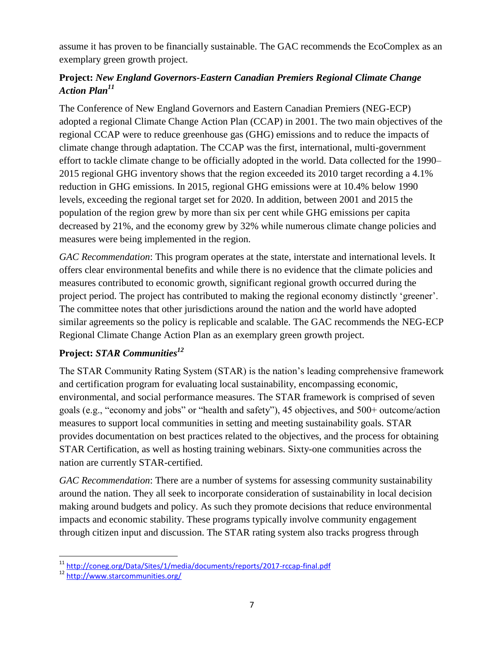assume it has proven to be financially sustainable. The GAC recommends the EcoComplex as an exemplary green growth project.

## **Project:** *New England Governors-Eastern Canadian Premiers Regional Climate Change Action Plan<sup>11</sup>*

The Conference of New England Governors and Eastern Canadian Premiers (NEG-ECP) adopted a regional Climate Change Action Plan (CCAP) in 2001. The two main objectives of the regional CCAP were to reduce greenhouse gas (GHG) emissions and to reduce the impacts of climate change through adaptation. The CCAP was the first, international, multi-government effort to tackle climate change to be officially adopted in the world. Data collected for the 1990– 2015 regional GHG inventory shows that the region exceeded its 2010 target recording a 4.1% reduction in GHG emissions. In 2015, regional GHG emissions were at 10.4% below 1990 levels, exceeding the regional target set for 2020. In addition, between 2001 and 2015 the population of the region grew by more than six per cent while GHG emissions per capita decreased by 21%, and the economy grew by 32% while numerous climate change policies and measures were being implemented in the region.

*GAC Recommendation*: This program operates at the state, interstate and international levels. It offers clear environmental benefits and while there is no evidence that the climate policies and measures contributed to economic growth, significant regional growth occurred during the project period. The project has contributed to making the regional economy distinctly 'greener'. The committee notes that other jurisdictions around the nation and the world have adopted similar agreements so the policy is replicable and scalable. The GAC recommends the NEG-ECP Regional Climate Change Action Plan as an exemplary green growth project.

## **Project:** *STAR Communities<sup>12</sup>*

The STAR Community Rating System (STAR) is the nation's leading comprehensive framework and certification program for evaluating local sustainability, encompassing economic, environmental, and social performance measures. The STAR framework is comprised of seven goals (e.g., "economy and jobs" or "health and safety"), 45 objectives, and 500+ outcome/action measures to support local communities in setting and meeting sustainability goals. STAR provides documentation on best practices related to the objectives, and the process for obtaining STAR Certification, as well as hosting training webinars. Sixty-one communities across the nation are currently STAR-certified.

*GAC Recommendation*: There are a number of systems for assessing community sustainability around the nation. They all seek to incorporate consideration of sustainability in local decision making around budgets and policy. As such they promote decisions that reduce environmental impacts and economic stability. These programs typically involve community engagement through citizen input and discussion. The STAR rating system also tracks progress through

 $\overline{\phantom{a}}$ <sup>11</sup> <http://coneg.org/Data/Sites/1/media/documents/reports/2017-rccap-final.pdf>

<sup>12</sup> <http://www.starcommunities.org/>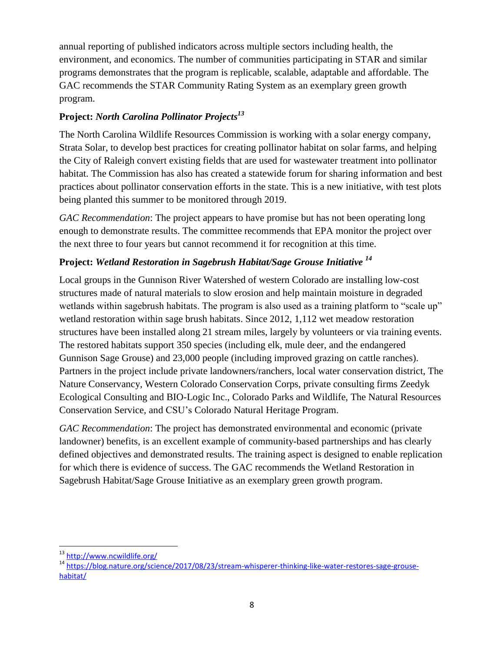annual reporting of published indicators across multiple sectors including health, the environment, and economics. The number of communities participating in STAR and similar programs demonstrates that the program is replicable, scalable, adaptable and affordable. The GAC recommends the STAR Community Rating System as an exemplary green growth program.

# **Project:** *North Carolina Pollinator Projects<sup>13</sup>*

The North Carolina Wildlife Resources Commission is working with a solar energy company, Strata Solar, to develop best practices for creating pollinator habitat on solar farms, and helping the City of Raleigh convert existing fields that are used for wastewater treatment into pollinator habitat. The Commission has also has created a statewide forum for sharing information and best practices about pollinator conservation efforts in the state. This is a new initiative, with test plots being planted this summer to be monitored through 2019.

*GAC Recommendation*: The project appears to have promise but has not been operating long enough to demonstrate results. The committee recommends that EPA monitor the project over the next three to four years but cannot recommend it for recognition at this time.

# **Project:** *Wetland Restoration in Sagebrush Habitat/Sage Grouse Initiative <sup>14</sup>*

Local groups in the Gunnison River Watershed of western Colorado are installing low-cost structures made of natural materials to slow erosion and help maintain moisture in degraded wetlands within sagebrush habitats. The program is also used as a training platform to "scale up" wetland restoration within sage brush habitats. Since 2012, 1,112 wet meadow restoration structures have been installed along 21 stream miles, largely by volunteers or via training events. The restored habitats support 350 species (including elk, mule deer, and the endangered Gunnison Sage Grouse) and 23,000 people (including improved grazing on cattle ranches). Partners in the project include private landowners/ranchers, local water conservation district, The Nature Conservancy, Western Colorado Conservation Corps, private consulting firms Zeedyk Ecological Consulting and BIO-Logic Inc., Colorado Parks and Wildlife, The Natural Resources Conservation Service, and CSU's Colorado Natural Heritage Program.

*GAC Recommendation*: The project has demonstrated environmental and economic (private landowner) benefits, is an excellent example of community-based partnerships and has clearly defined objectives and demonstrated results. The training aspect is designed to enable replication for which there is evidence of success. The GAC recommends the Wetland Restoration in Sagebrush Habitat/Sage Grouse Initiative as an exemplary green growth program.

 $\overline{\phantom{a}}$ <sup>13</sup> <http://www.ncwildlife.org/>

<sup>&</sup>lt;sup>14</sup> [https://blog.nature.org/science/2017/08/23/stream-whisperer-thinking-like-water-restores-sage-grouse](https://blog.nature.org/science/2017/08/23/stream-whisperer-thinking-like-water-restores-sage-grouse-habitat/)[habitat/](https://blog.nature.org/science/2017/08/23/stream-whisperer-thinking-like-water-restores-sage-grouse-habitat/)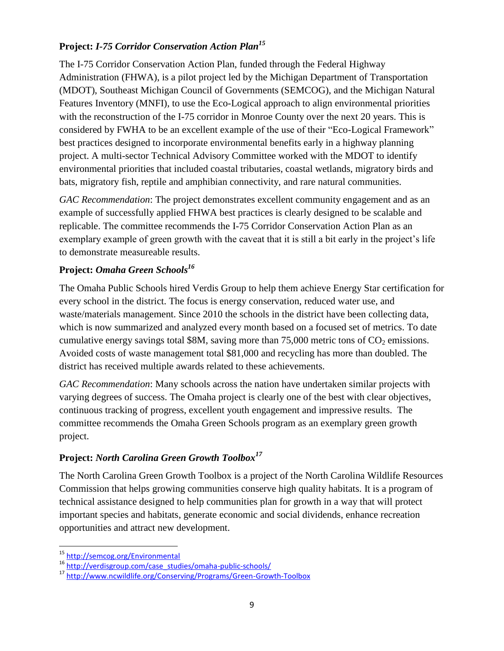## **Project:** *I-75 Corridor Conservation Action Plan<sup>15</sup>*

The I-75 Corridor Conservation Action Plan, funded through the Federal Highway Administration (FHWA), is a pilot project led by the Michigan Department of Transportation (MDOT), Southeast Michigan Council of Governments (SEMCOG), and the Michigan Natural Features Inventory (MNFI), to use the Eco-Logical approach to align environmental priorities with the reconstruction of the I-75 corridor in Monroe County over the next 20 years. This is considered by FWHA to be an excellent example of the use of their "Eco-Logical Framework" best practices designed to incorporate environmental benefits early in a highway planning project. A multi-sector Technical Advisory Committee worked with the MDOT to identify environmental priorities that included coastal tributaries, coastal wetlands, migratory birds and bats, migratory fish, reptile and amphibian connectivity, and rare natural communities.

*GAC Recommendation*: The project demonstrates excellent community engagement and as an example of successfully applied FHWA best practices is clearly designed to be scalable and replicable. The committee recommends the I-75 Corridor Conservation Action Plan as an exemplary example of green growth with the caveat that it is still a bit early in the project's life to demonstrate measureable results.

#### **Project:** *Omaha Green Schools<sup>16</sup>*

The Omaha Public Schools hired Verdis Group to help them achieve Energy Star certification for every school in the district. The focus is energy conservation, reduced water use, and waste/materials management. Since 2010 the schools in the district have been collecting data, which is now summarized and analyzed every month based on a focused set of metrics. To date cumulative energy savings total \$8M, saving more than  $75,000$  metric tons of  $CO<sub>2</sub>$  emissions. Avoided costs of waste management total \$81,000 and recycling has more than doubled. The district has received multiple awards related to these achievements.

*GAC Recommendation*: Many schools across the nation have undertaken similar projects with varying degrees of success. The Omaha project is clearly one of the best with clear objectives, continuous tracking of progress, excellent youth engagement and impressive results. The committee recommends the Omaha Green Schools program as an exemplary green growth project.

#### **Project:** *North Carolina Green Growth Toolbox<sup>17</sup>*

The North Carolina Green Growth Toolbox is a project of the North Carolina Wildlife Resources Commission that helps growing communities conserve high quality habitats. It is a program of technical assistance designed to help communities plan for growth in a way that will protect important species and habitats, generate economic and social dividends, enhance recreation opportunities and attract new development.

<sup>15</sup> <http://semcog.org/Environmental>

<sup>16</sup> http://verdisgroup.com/case\_studies/omaha-public-schools/

<sup>17</sup> <http://www.ncwildlife.org/Conserving/Programs/Green-Growth-Toolbox>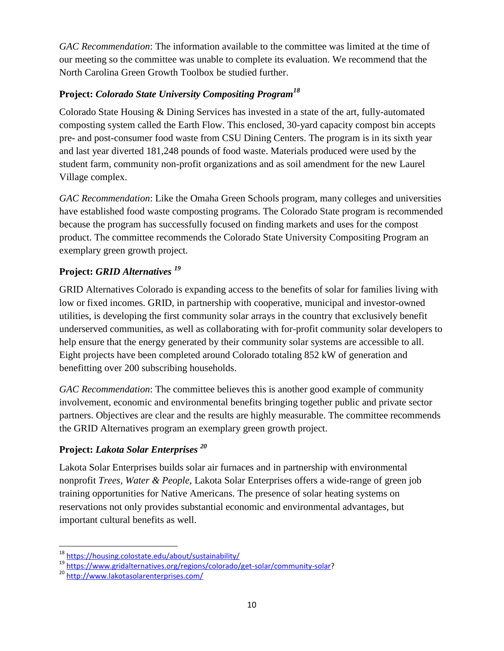*GAC Recommendation*: The information available to the committee was limited at the time of our meeting so the committee was unable to complete its evaluation. We recommend that the North Carolina Green Growth Toolbox be studied further.

# **Project:** *Colorado State University Compositing Program<sup>18</sup>*

Colorado State Housing & Dining Services has invested in a state of the art, fully-automated composting system called the Earth Flow. This enclosed, 30-yard capacity compost bin accepts pre- and post-consumer food waste from CSU Dining Centers. The program is in its sixth year and last year diverted 181,248 pounds of food waste. Materials produced were used by the student farm, community non-profit organizations and as soil amendment for the new Laurel Village complex.

*GAC Recommendation*: Like the Omaha Green Schools program, many colleges and universities have established food waste composting programs. The Colorado State program is recommended because the program has successfully focused on finding markets and uses for the compost product. The committee recommends the Colorado State University Compositing Program an exemplary green growth project.

# **Project:** *GRID Alternatives <sup>19</sup>*

GRID Alternatives Colorado is expanding access to the benefits of solar for families living with low or fixed incomes. GRID, in partnership with cooperative, municipal and investor-owned utilities, is developing the first community solar arrays in the country that exclusively benefit underserved communities, as well as collaborating with for-profit community solar developers to help ensure that the energy generated by their community solar systems are accessible to all. Eight projects have been completed around Colorado totaling 852 kW of generation and benefitting over 200 subscribing households.

*GAC Recommendation*: The committee believes this is another good example of community involvement, economic and environmental benefits bringing together public and private sector partners. Objectives are clear and the results are highly measurable. The committee recommends the GRID Alternatives program an exemplary green growth project.

## **Project:** *Lakota Solar Enterprises <sup>20</sup>*

Lakota Solar Enterprises builds solar air furnaces and in partnership with environmental nonprofit *Trees, Water & People*, Lakota Solar Enterprises offers a wide-range of green job training opportunities for Native Americans. The presence of solar heating systems on reservations not only provides substantial economic and environmental advantages, but important cultural benefits as well.

<sup>18</sup> <https://housing.colostate.edu/about/sustainability/>

<sup>19</sup> [https://www.gridalternatives.org/regions/colorado/get-solar/community-solar?](https://www.gridalternatives.org/regions/colorado/get-solar/community-solar)

<sup>20</sup> <http://www.lakotasolarenterprises.com/>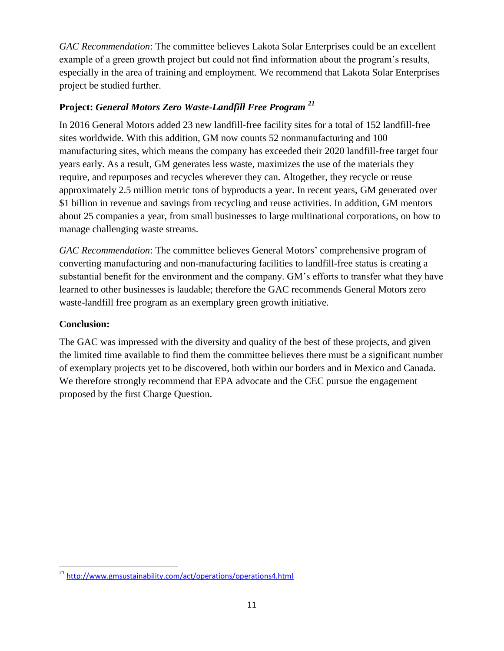*GAC Recommendation*: The committee believes Lakota Solar Enterprises could be an excellent example of a green growth project but could not find information about the program's results, especially in the area of training and employment. We recommend that Lakota Solar Enterprises project be studied further.

#### **Project:** *General Motors Zero Waste-Landfill Free Program <sup>21</sup>*

In 2016 General Motors added 23 new landfill-free facility sites for a total of 152 landfill-free sites worldwide. With this addition, GM now counts 52 nonmanufacturing and 100 manufacturing sites, which means the company has exceeded their 2020 landfill-free target four years early. As a result, GM generates less waste, maximizes the use of the materials they require, and repurposes and recycles wherever they can. Altogether, they recycle or reuse approximately 2.5 million metric tons of byproducts a year. In recent years, GM generated over \$1 billion in revenue and savings from recycling and reuse activities. In addition, GM mentors about 25 companies a year, from small businesses to large multinational corporations, on how to manage challenging waste streams.

*GAC Recommendation*: The committee believes General Motors' comprehensive program of converting manufacturing and non-manufacturing facilities to landfill-free status is creating a substantial benefit for the environment and the company. GM's efforts to transfer what they have learned to other businesses is laudable; therefore the GAC recommends General Motors zero waste-landfill free program as an exemplary green growth initiative.

#### **Conclusion:**

 $\overline{\phantom{a}}$ 

The GAC was impressed with the diversity and quality of the best of these projects, and given the limited time available to find them the committee believes there must be a significant number of exemplary projects yet to be discovered, both within our borders and in Mexico and Canada. We therefore strongly recommend that EPA advocate and the CEC pursue the engagement proposed by the first Charge Question.

<sup>&</sup>lt;sup>21</sup> http://www.gmsustainability.com/act/operations/operations4.html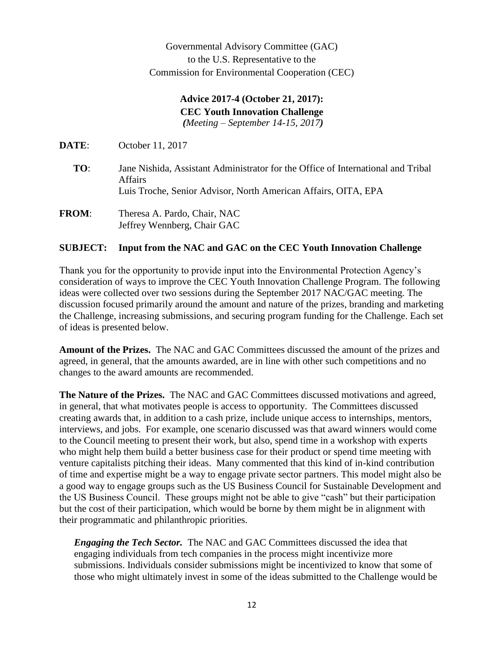Governmental Advisory Committee (GAC) to the U.S. Representative to the Commission for Environmental Cooperation (CEC)

#### **Advice 2017-4 (October 21, 2017): CEC Youth Innovation Challenge** *(Meeting – September 14-15, 2017)*

**DATE**: October 11, 2017

- **TO**: Jane Nishida, Assistant Administrator for the Office of International and Tribal Affairs Luis Troche, Senior Advisor, North American Affairs, OITA, EPA
- **FROM**: Theresa A. Pardo, Chair, NAC Jeffrey Wennberg, Chair GAC

#### **SUBJECT: Input from the NAC and GAC on the CEC Youth Innovation Challenge**

Thank you for the opportunity to provide input into the Environmental Protection Agency's consideration of ways to improve the CEC Youth Innovation Challenge Program. The following ideas were collected over two sessions during the September 2017 NAC/GAC meeting. The discussion focused primarily around the amount and nature of the prizes, branding and marketing the Challenge, increasing submissions, and securing program funding for the Challenge. Each set of ideas is presented below.

**Amount of the Prizes.** The NAC and GAC Committees discussed the amount of the prizes and agreed, in general, that the amounts awarded, are in line with other such competitions and no changes to the award amounts are recommended.

**The Nature of the Prizes.** The NAC and GAC Committees discussed motivations and agreed, in general, that what motivates people is access to opportunity. The Committees discussed creating awards that, in addition to a cash prize, include unique access to internships, mentors, interviews, and jobs. For example, one scenario discussed was that award winners would come to the Council meeting to present their work, but also, spend time in a workshop with experts who might help them build a better business case for their product or spend time meeting with venture capitalists pitching their ideas. Many commented that this kind of in-kind contribution of time and expertise might be a way to engage private sector partners. This model might also be a good way to engage groups such as the US Business Council for Sustainable Development and the US Business Council. These groups might not be able to give "cash" but their participation but the cost of their participation, which would be borne by them might be in alignment with their programmatic and philanthropic priorities.

*Engaging the Tech Sector.* The NAC and GAC Committees discussed the idea that engaging individuals from tech companies in the process might incentivize more submissions. Individuals consider submissions might be incentivized to know that some of those who might ultimately invest in some of the ideas submitted to the Challenge would be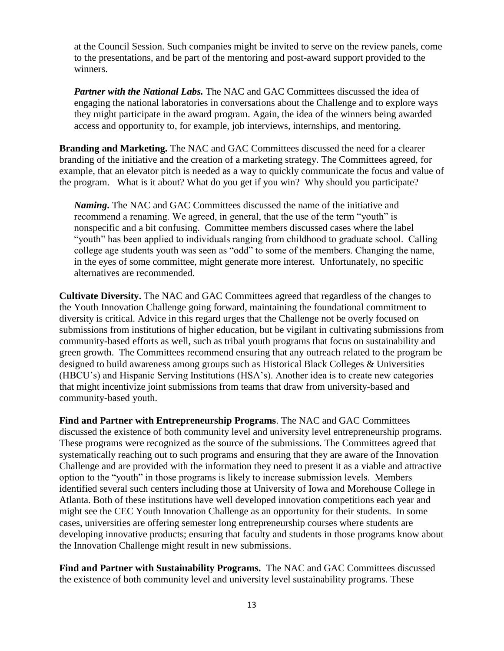at the Council Session. Such companies might be invited to serve on the review panels, come to the presentations, and be part of the mentoring and post-award support provided to the winners.

*Partner with the National Labs.* The NAC and GAC Committees discussed the idea of engaging the national laboratories in conversations about the Challenge and to explore ways they might participate in the award program. Again, the idea of the winners being awarded access and opportunity to, for example, job interviews, internships, and mentoring.

**Branding and Marketing.** The NAC and GAC Committees discussed the need for a clearer branding of the initiative and the creation of a marketing strategy. The Committees agreed, for example, that an elevator pitch is needed as a way to quickly communicate the focus and value of the program. What is it about? What do you get if you win? Why should you participate?

*Naming***.** The NAC and GAC Committees discussed the name of the initiative and recommend a renaming. We agreed, in general, that the use of the term "youth" is nonspecific and a bit confusing. Committee members discussed cases where the label "youth" has been applied to individuals ranging from childhood to graduate school. Calling college age students youth was seen as "odd" to some of the members. Changing the name, in the eyes of some committee, might generate more interest. Unfortunately, no specific alternatives are recommended.

**Cultivate Diversity.** The NAC and GAC Committees agreed that regardless of the changes to the Youth Innovation Challenge going forward, maintaining the foundational commitment to diversity is critical. Advice in this regard urges that the Challenge not be overly focused on submissions from institutions of higher education, but be vigilant in cultivating submissions from community-based efforts as well, such as tribal youth programs that focus on sustainability and green growth. The Committees recommend ensuring that any outreach related to the program be designed to build awareness among groups such as Historical Black Colleges & Universities (HBCU's) and Hispanic Serving Institutions (HSA's). Another idea is to create new categories that might incentivize joint submissions from teams that draw from university-based and community-based youth.

**Find and Partner with Entrepreneurship Programs**. The NAC and GAC Committees discussed the existence of both community level and university level entrepreneurship programs. These programs were recognized as the source of the submissions. The Committees agreed that systematically reaching out to such programs and ensuring that they are aware of the Innovation Challenge and are provided with the information they need to present it as a viable and attractive option to the "youth" in those programs is likely to increase submission levels. Members identified several such centers including those at University of Iowa and Morehouse College in Atlanta. Both of these institutions have well developed innovation competitions each year and might see the CEC Youth Innovation Challenge as an opportunity for their students. In some cases, universities are offering semester long entrepreneurship courses where students are developing innovative products; ensuring that faculty and students in those programs know about the Innovation Challenge might result in new submissions.

**Find and Partner with Sustainability Programs.** The NAC and GAC Committees discussed the existence of both community level and university level sustainability programs. These